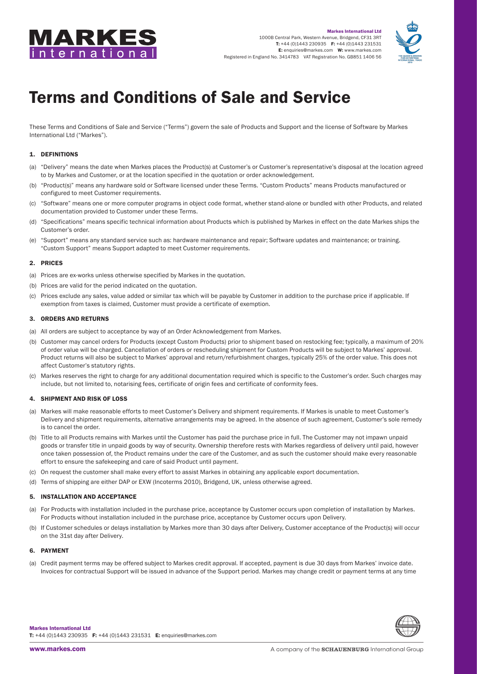



# Terms and Conditions of Sale and Service

These Terms and Conditions of Sale and Service ("Terms") govern the sale of Products and Support and the license of Software by Markes International Ltd ("Markes").

## 1. DEFINITIONS

- (a) "Delivery" means the date when Markes places the Product(s) at Customer's or Customer's representative's disposal at the location agreed to by Markes and Customer, or at the location specified in the quotation or order acknowledgement.
- (b) "Product(s)" means any hardware sold or Software licensed under these Terms. "Custom Products" means Products manufactured or configured to meet Customer requirements.
- (c) "Software" means one or more computer programs in object code format, whether stand-alone or bundled with other Products, and related documentation provided to Customer under these Terms.
- (d) "Specifications" means specific technical information about Products which is published by Markes in effect on the date Markes ships the Customer's order.
- (e) "Support" means any standard service such as: hardware maintenance and repair; Software updates and maintenance; or training. "Custom Support" means Support adapted to meet Customer requirements.

#### 2. PRICES

- (a) Prices are ex-works unless otherwise specified by Markes in the quotation.
- (b) Prices are valid for the period indicated on the quotation.
- (c) Prices exclude any sales, value added or similar tax which will be payable by Customer in addition to the purchase price if applicable. If exemption from taxes is claimed, Customer must provide a certificate of exemption.

#### 3. ORDERS AND RETURNS

- (a) All orders are subject to acceptance by way of an Order Acknowledgement from Markes.
- (b) Customer may cancel orders for Products (except Custom Products) prior to shipment based on restocking fee; typically, a maximum of 20% of order value will be charged. Cancellation of orders or rescheduling shipment for Custom Products will be subject to Markes' approval. Product returns will also be subject to Markes' approval and return/refurbishment charges, typically 25% of the order value. This does not affect Customer's statutory rights.
- (c) Markes reserves the right to charge for any additional documentation required which is specific to the Customer's order. Such charges may include, but not limited to, notarising fees, certificate of origin fees and certificate of conformity fees.

## 4. SHIPMENT AND RISK OF LOSS

- (a) Markes will make reasonable efforts to meet Customer's Delivery and shipment requirements. If Markes is unable to meet Customer's Delivery and shipment requirements, alternative arrangements may be agreed. In the absence of such agreement, Customer's sole remedy is to cancel the order.
- (b) Title to all Products remains with Markes until the Customer has paid the purchase price in full. The Customer may not impawn unpaid goods or transfer title in unpaid goods by way of security. Ownership therefore rests with Markes regardless of delivery until paid, however once taken possession of, the Product remains under the care of the Customer, and as such the customer should make every reasonable effort to ensure the safekeeping and care of said Product until payment.
- (c) On request the customer shall make every effort to assist Markes in obtaining any applicable export documentation.
- (d) Terms of shipping are either DAP or EXW (Incoterms 2010), Bridgend, UK, unless otherwise agreed.

#### 5. INSTALLATION AND ACCEPTANCE

- (a) For Products with installation included in the purchase price, acceptance by Customer occurs upon completion of installation by Markes. For Products without installation included in the purchase price, acceptance by Customer occurs upon Delivery.
- (b) If Customer schedules or delays installation by Markes more than 30 days after Delivery, Customer acceptance of the Product(s) will occur on the 31st day after Delivery.

#### 6. PAYMENT

(a) Credit payment terms may be offered subject to Markes credit approval. If accepted, payment is due 30 days from Markes' invoice date. Invoices for contractual Support will be issued in advance of the Support period. Markes may change credit or payment terms at any time

Markes International Ltd T: +44 (0)1443 230935 F: +44 (0)1443 231531 E: [enquiries@markes.com](mailto:enquiries%40markes.com?subject=)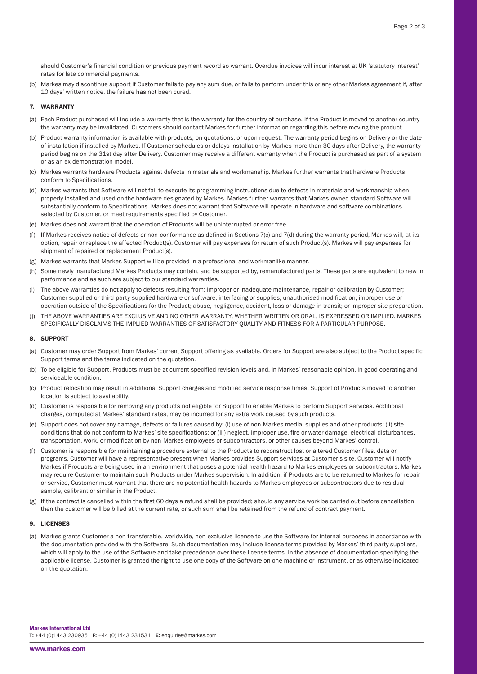should Customer's financial condition or previous payment record so warrant. Overdue invoices will incur interest at UK 'statutory interest' rates for late commercial payments.

(b) Markes may discontinue support if Customer fails to pay any sum due, or fails to perform under this or any other Markes agreement if, after 10 days' written notice, the failure has not been cured.

#### 7. WARRANTY

- (a) Each Product purchased will include a warranty that is the warranty for the country of purchase. If the Product is moved to another country the warranty may be invalidated. Customers should contact Markes for further information regarding this before moving the product.
- (b) Product warranty information is available with products, on quotations, or upon request. The warranty period begins on Delivery or the date of installation if installed by Markes. If Customer schedules or delays installation by Markes more than 30 days after Delivery, the warranty period begins on the 31st day after Delivery. Customer may receive a different warranty when the Product is purchased as part of a system or as an ex-demonstration model.
- (c) Markes warrants hardware Products against defects in materials and workmanship. Markes further warrants that hardware Products conform to Specifications.
- (d) Markes warrants that Software will not fail to execute its programming instructions due to defects in materials and workmanship when properly installed and used on the hardware designated by Markes. Markes further warrants that Markes-owned standard Software will substantially conform to Specifications. Markes does not warrant that Software will operate in hardware and software combinations selected by Customer, or meet requirements specified by Customer.
- (e) Markes does not warrant that the operation of Products will be uninterrupted or error-free.
- (f) If Markes receives notice of defects or non-conformance as defined in Sections 7(c) and 7(d) during the warranty period, Markes will, at its option, repair or replace the affected Product(s). Customer will pay expenses for return of such Product(s). Markes will pay expenses for shipment of repaired or replacement Product(s).
- (g) Markes warrants that Markes Support will be provided in a professional and workmanlike manner.
- (h) Some newly manufactured Markes Products may contain, and be supported by, remanufactured parts. These parts are equivalent to new in performance and as such are subject to our standard warranties.
- (i) The above warranties do not apply to defects resulting from: improper or inadequate maintenance, repair or calibration by Customer; Customer-supplied or third-party-supplied hardware or software, interfacing or supplies; unauthorised modification; improper use or operation outside of the Specifications for the Product; abuse, negligence, accident, loss or damage in transit; or improper site preparation.
- (j) THE ABOVE WARRANTIES ARE EXCLUSIVE AND NO OTHER WARRANTY, WHETHER WRITTEN OR ORAL, IS EXPRESSED OR IMPLIED. MARKES SPECIFICALLY DISCLAIMS THE IMPLIED WARRANTIES OF SATISFACTORY QUALITY AND FITNESS FOR A PARTICULAR PURPOSE.

#### 8. SUPPORT

- (a) Customer may order Support from Markes' current Support offering as available. Orders for Support are also subject to the Product specific Support terms and the terms indicated on the quotation.
- (b) To be eligible for Support, Products must be at current specified revision levels and, in Markes' reasonable opinion, in good operating and serviceable condition.
- (c) Product relocation may result in additional Support charges and modified service response times. Support of Products moved to another location is subject to availability.
- (d) Customer is responsible for removing any products not eligible for Support to enable Markes to perform Support services. Additional charges, computed at Markes' standard rates, may be incurred for any extra work caused by such products.
- (e) Support does not cover any damage, defects or failures caused by: (i) use of non-Markes media, supplies and other products; (ii) site conditions that do not conform to Markes' site specifications; or (iii) neglect, improper use, fire or water damage, electrical disturbances, transportation, work, or modification by non-Markes employees or subcontractors, or other causes beyond Markes' control.
- (f) Customer is responsible for maintaining a procedure external to the Products to reconstruct lost or altered Customer files, data or programs. Customer will have a representative present when Markes provides Support services at Customer's site. Customer will notify Markes if Products are being used in an environment that poses a potential health hazard to Markes employees or subcontractors. Markes may require Customer to maintain such Products under Markes supervision. In addition, if Products are to be returned to Markes for repair or service, Customer must warrant that there are no potential health hazards to Markes employees or subcontractors due to residual sample, calibrant or similar in the Product.
- $(g)$  If the contract is cancelled within the first 60 days a refund shall be provided; should any service work be carried out before cancellation then the customer will be billed at the current rate, or such sum shall be retained from the refund of contract payment.

### 9. LICENSES

(a) Markes grants Customer a non-transferable, worldwide, non-exclusive license to use the Software for internal purposes in accordance with the documentation provided with the Software. Such documentation may include license terms provided by Markes' third-party suppliers, which will apply to the use of the Software and take precedence over these license terms. In the absence of documentation specifying the applicable license, Customer is granted the right to use one copy of the Software on one machine or instrument, or as otherwise indicated on the quotation.